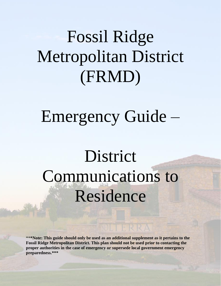# Fossil Ridge Metropolitan District (FRMD)

## Emergency Guide –

# District Communications to Residence

\*\***\*Note: This guide should only be used as an additional supplement as it pertains to the Fossil Ridge Metropolitan District. This plan should not be used prior to contacting the proper authorities in the case of emergency or supersede local government emergency preparedness.\*\*\***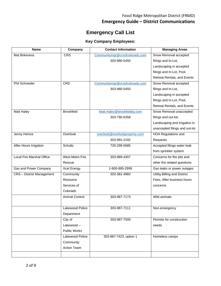### Fossil Ridge Metropolitan District (FRMD) **Emergency Guide – District Communications**

### **Emergency Call List**

### **Key Company Employees:**

| Name<br>Company                  |                        | <b>Contact Information</b>     | <b>Managing Areas</b>          |  |
|----------------------------------|------------------------|--------------------------------|--------------------------------|--|
| Mat Birkeness                    | <b>CRS</b>             | Communitymgr@crsofcolorado.com | Snow Removal accepted          |  |
|                                  |                        | 303-980-5450                   | filings and In-Lot,            |  |
|                                  |                        |                                | Landscaping in accepted        |  |
|                                  |                        |                                | filings and In-Lot, Pool,      |  |
|                                  |                        |                                | Retreat Rentals, and Events    |  |
| Phil Schneider                   | <b>CRS</b>             | Communitymgr@crsofcolorado.com | Snow Removal accepted          |  |
|                                  |                        | 303-980-5450                   | filings and In-Lot,            |  |
|                                  |                        |                                | Landscaping in accepted        |  |
|                                  |                        |                                | filings and In-Lot, Pool,      |  |
|                                  |                        |                                | Retreat Rentals, and Events    |  |
| Matt Haley                       | <b>Brookfield</b>      | Matt.Haley@brookfieldrp.com    | Snow Removal unaccepted        |  |
|                                  |                        | 303-790-6358                   | filings and out-lot;           |  |
|                                  |                        |                                | Landscaping and irrigation in  |  |
|                                  |                        |                                | unaccepted filings and out-lot |  |
| Jenny Heinze                     | Overlook               | overlook@overlookproperty.com  | <b>HOA Regulations and</b>     |  |
|                                  |                        | 303-991-2192                   | Requests                       |  |
| After Hours Irrigation           | Schultz                | 720-299-5685                   | Accepted filings water leak    |  |
|                                  |                        |                                | from sprinkler system          |  |
| <b>Local Fire Marshal Office</b> | <b>West Metro Fire</b> | 303-989-4307                   | Concerns for fire pits and     |  |
|                                  | Rescue                 |                                | other fire related questions   |  |
| Gas and Power Company            | Xcel Energy            | 1-800-895-2999                 | Gas leaks or power outages     |  |
| <b>CRS</b> - Distrist Management | Community              | 303-381-4960                   | Utility Billing and District   |  |
|                                  | Resource               |                                | Fees, After business hours     |  |
|                                  | Services of            |                                | concerns                       |  |
|                                  | Colorado               |                                |                                |  |
|                                  | <b>Animal Control</b>  | 303-987-7173                   | Wild animals                   |  |
|                                  |                        |                                |                                |  |
|                                  | Lakewood Police        | 303-987-7111                   | Non-emergency                  |  |
|                                  | Department             |                                |                                |  |
|                                  | City of                | 303-987-7500                   | Permits for construction       |  |
|                                  | Lakewood-              |                                | needs                          |  |
|                                  | Public Works           |                                |                                |  |
|                                  | Lakewood Police        | 303-987-7423, option 1         | Homeless camps                 |  |
|                                  | Community              |                                |                                |  |
|                                  | Action Team            |                                |                                |  |
|                                  |                        |                                |                                |  |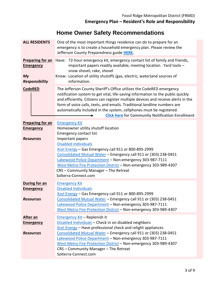## **Home Owner Safety Recommendations**

| <b>ALL RESIDENTS</b>                                                       | One of the most important things residence can do to prepare for an<br>emergency is to create a household emergency plan. Please review the<br>Jefferson County Preparedness guide HERE.                                                                                                                                                                                                                                                                    |  |  |
|----------------------------------------------------------------------------|-------------------------------------------------------------------------------------------------------------------------------------------------------------------------------------------------------------------------------------------------------------------------------------------------------------------------------------------------------------------------------------------------------------------------------------------------------------|--|--|
| <b>Preparing for an</b><br><b>Emergency</b><br>My<br><b>Responsibility</b> | Have: 72-hour emergency kit, emergency contact list of family and friends,<br>important papers readily available, meeting location. Yard tools -<br>snow shovel, rake, shovel<br>Know: Location of utility shutoffs (gas, electric, water) and sources of<br>information.                                                                                                                                                                                   |  |  |
| <b>CodeRED</b>                                                             | The Jefferson County Sheriff's Office utilizes the CodeRED emergency<br>notification system to get vital, life-saving information to the public quickly<br>and efficiently. Citizens can register multiple devices and receive alerts in the<br>form of voice calls, texts, and emails. Traditional landline numbers are<br>automatically included in the system, cellphones must be registered.<br><b>Click here for Community Notification Enrollment</b> |  |  |
| <b>Preparing for an</b><br><b>Emergency</b>                                | <b>Emergency Kit</b><br>Homeowner utility shutoff location                                                                                                                                                                                                                                                                                                                                                                                                  |  |  |
| <b>Resources</b>                                                           | <b>Emergency contact list</b><br>Important papers<br><b>Disabled Individuals</b><br>Xcel Energy - Gas Emergency call 911 or 800-895-2999<br>Consolidated Mutual Water - Emergency call 911 or (303) 238-0451<br>Lakewood Police Department - Non-emergency 303-987-7111<br>West Metro Fire Protection District - Non-emergency 303-989-4307<br>CRS - Community Manager - The Retreat<br>Solterra-Connect.com                                                |  |  |
| During for an<br><b>Emergency</b>                                          | <b>Emergency Kit</b><br><b>Disabled Individuals</b><br>Xcel Energy - Gas Emergency call 911 or 800-895-2999                                                                                                                                                                                                                                                                                                                                                 |  |  |
| <b>Resources</b>                                                           | Consolidated Mutual Water - Emergency call 911 or (303) 238-0451<br>Lakewood Police Department - Non-emergency 303-987-7111<br>West Metro Fire Protection District - Non-emergency 303-989-4307                                                                                                                                                                                                                                                             |  |  |
| <b>After an</b><br><b>Emergency</b>                                        | Emergency Kit - Replenish it<br>Disabled Individuals - Check in on disabled neighbors<br>Xcel Energy - Have professional check and relight appliances                                                                                                                                                                                                                                                                                                       |  |  |
| <b>Resources</b>                                                           | Consolidated Mutual Water - Emergency call 911 or (303) 238-0451<br>Lakewood Police Department - Non-emergency 303-987-7111<br>West Metro Fire Protection District - Non-emergency 303-989-4307<br>CRS - Community Manager - The Retreat<br>Solterra-Connect.com                                                                                                                                                                                            |  |  |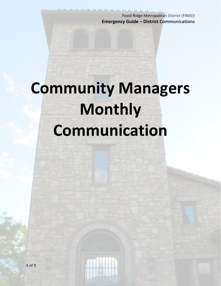Fossil Ridge Metropolitan District (FRMD) **Emergency Guide – District Communications**

# **Community Managers Monthly Communication**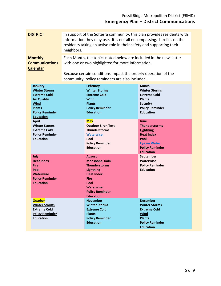| <b>DISTRICT</b>                                                                                                                                                   | In support of the Solterra community, this plan provides residents with<br>information they may use. It is not all encompassing. It relies on the<br>residents taking an active role in their safety and supporting their<br>neighbors. |                                                                                                                                                                                                  |                                                                                                                                                    |
|-------------------------------------------------------------------------------------------------------------------------------------------------------------------|-----------------------------------------------------------------------------------------------------------------------------------------------------------------------------------------------------------------------------------------|--------------------------------------------------------------------------------------------------------------------------------------------------------------------------------------------------|----------------------------------------------------------------------------------------------------------------------------------------------------|
| <b>Monthly</b><br><b>Communications</b><br><b>Calendar</b>                                                                                                        | Each Month, the topics noted below are included in the newsletter<br>with one or two highlighted for more information.                                                                                                                  |                                                                                                                                                                                                  |                                                                                                                                                    |
|                                                                                                                                                                   |                                                                                                                                                                                                                                         | Because certain conditions impact the orderly operation of the<br>community, policy reminders are also included.                                                                                 |                                                                                                                                                    |
| <b>January</b><br><b>Winter Storms</b><br><b>Extreme Cold</b><br><b>Air Quality</b><br><b>Wind</b><br><b>Plants</b><br><b>Policy Reminder</b><br><b>Education</b> |                                                                                                                                                                                                                                         | <b>February</b><br><b>Winter Storms</b><br><b>Extreme Cold</b><br>Wind<br><b>Plants</b><br><b>Policy Reminder</b><br><b>Education</b>                                                            | March<br><b>Winter Storms</b><br><b>Extreme Cold</b><br><b>Plants</b><br><b>Security</b><br><b>Policy Reminder</b><br><b>Education</b>             |
| <b>April</b><br><b>Winter Storms</b><br><b>Extreme Cold</b><br><b>Policy Reminder</b><br><b>Education</b>                                                         |                                                                                                                                                                                                                                         | <b>May</b><br><b>Outdoor Siren Test</b><br><b>Thunderstorms</b><br><b>Waterwise</b><br>Pool<br><b>Policy Reminder</b><br><b>Education</b>                                                        | June<br><b>Thunderstorms</b><br><b>Lightning</b><br><b>Heat Index</b><br>Pool<br><b>Eye on Water</b><br><b>Policy Reminder</b><br><b>Education</b> |
| July<br><b>Heat Index</b><br><b>Fire</b><br>Pool<br><b>Waterwise</b><br><b>Policy Reminder</b><br><b>Education</b>                                                |                                                                                                                                                                                                                                         | <b>August</b><br><b>Monsoonal Rain</b><br><b>Thunderstorms</b><br><b>Lightning</b><br><b>Heat Index</b><br><b>Fire</b><br>Pool<br><b>Waterwise</b><br><b>Policy Reminder</b><br><b>Education</b> | September<br><b>Waterwise</b><br><b>Policy Reminder</b><br><b>Education</b>                                                                        |
| <b>October</b><br><b>Winter Storms</b><br><b>Extreme Cold</b><br><b>Policy Reminder</b><br><b>Education</b>                                                       |                                                                                                                                                                                                                                         | <b>November</b><br><b>Winter Storms</b><br><b>Extreme Cold</b><br><b>Plants</b><br><b>Policy Reminder</b><br><b>Education</b>                                                                    | <b>December</b><br><b>Winter Storms</b><br><b>Extreme Cold</b><br><b>Wind</b><br><b>Plants</b><br><b>Policy Reminder</b><br><b>Education</b>       |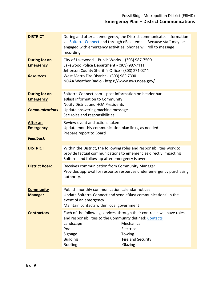| <b>DISTRICT</b>                                                   | During and after an emergency, the District communicates information<br>via Solterra-Connect and through eBlast email. Because staff may be<br>engaged with emergency activities, phones will roll to message<br>recording.                                            |  |  |
|-------------------------------------------------------------------|------------------------------------------------------------------------------------------------------------------------------------------------------------------------------------------------------------------------------------------------------------------------|--|--|
| <b>During for an</b><br><b>Emergency</b><br><b>Resources</b>      | City of Lakewood - Public Works - (303) 987-7500<br>Lakewood Police Department - (303) 987-7111<br>Jefferson County Sheriff's Office - (303) 271-0211<br>West Metro Fire District - (303) 980-7300<br>NOAA Weather Radio - https://www.nws.noaa.gov/                   |  |  |
| <b>During for an</b><br><b>Emergency</b><br><b>Communications</b> | Solterra-Connect.com - post information on header bar<br>eBlast information to Community<br>Notify District and HOA Presidents<br>Update answering machine message<br>See roles and responsibilities                                                                   |  |  |
| <b>After an</b><br><b>Emergency</b><br><b>Feedback</b>            | Review event and actions taken<br>Update monthly communication plan links, as needed<br>Prepare report to Board                                                                                                                                                        |  |  |
| <b>DISTRICT</b>                                                   | Within the District, the following roles and responsibilities work to<br>provide factual communications to emergencies directly impacting<br>Solterra and follow-up after emergency is over.                                                                           |  |  |
| <b>District Board</b>                                             | Receives communication from Community Manager<br>Provides approval for response resources under emergency purchasing<br>authority.                                                                                                                                     |  |  |
| <b>Community</b><br><b>Manager</b>                                | Publish monthly communication calendar notices<br>Update Solterra-Connect and send eBlast communications' in the<br>event of an emergency<br>Maintain contacts within local government                                                                                 |  |  |
| <b>Contractors</b>                                                | Each of the following services, through their contracts will have roles<br>and responsibilities to the Community defined: Contacts<br>Mechanical<br>Landscape<br>Electrical<br>Pool<br>Signage<br>Towing<br><b>Building</b><br>Fire and Security<br>Roofing<br>Glazing |  |  |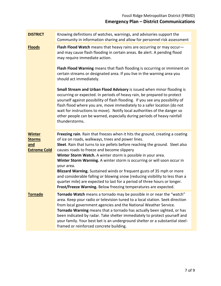| <b>DISTRICT</b>                                              | Knowing definitions of watches, warnings, and advisories support the<br>Community in information sharing and allow for personnel risk assessment                                                                                                                                                                                                                                                                                                                                                                                                                                                                                                                                                                                  |  |  |
|--------------------------------------------------------------|-----------------------------------------------------------------------------------------------------------------------------------------------------------------------------------------------------------------------------------------------------------------------------------------------------------------------------------------------------------------------------------------------------------------------------------------------------------------------------------------------------------------------------------------------------------------------------------------------------------------------------------------------------------------------------------------------------------------------------------|--|--|
| <b>Floods</b>                                                | Flash Flood Watch means that heavy rains are occurring or may occur-<br>and may cause flash flooding in certain areas. Be alert. A pending flood<br>may require immediate action.                                                                                                                                                                                                                                                                                                                                                                                                                                                                                                                                                 |  |  |
|                                                              | Flash Flood Warning means that flash flooding is occurring or imminent on<br>certain streams or designated area. If you live in the warning area you<br>should act immediately.                                                                                                                                                                                                                                                                                                                                                                                                                                                                                                                                                   |  |  |
|                                                              | Small Stream and Urban Flood Advisory is issued when minor flooding is<br>occurring or expected. In periods of heavy rain, be prepared to protect<br>yourself against possibility of flash flooding. If you see any possibility of<br>flash flood where you are, move immediately to a safer location (do not<br>wait for instructions to move). Notify local authorities of the danger so<br>other people can be warned, especially during periods of heavy rainfall<br>thunderstorms.                                                                                                                                                                                                                                           |  |  |
| <b>Winter</b><br><b>Storms</b><br>and<br><b>Extreme Cold</b> | Freezing rain. Rain that freezes when it hits the ground, creating a coating<br>of ice on roads, walkways, trees and power lines.<br>Sleet. Rain that turns to ice pellets before reaching the ground. Sleet also<br>causes roads to freeze and become slippery<br>Winter Storm Watch. A winter storm is possible in your area.<br>Winter Storm Warning. A winter storm is occurring or will soon occur in<br>your area.<br>Blizzard Warning. Sustained winds or frequent gusts of 35 mph or more<br>and considerable falling or blowing snow (reducing visibility to less than a<br>quarter mile) are expected to last for a period of three hours or longer.<br>Frost/Freeze Warning. Below freezing temperatures are expected. |  |  |
| <b>Tornado</b>                                               | Tornado Watch means a tornado may be possible in or near the "watch"<br>area. Keep your radio or television tuned to a local station. Seek direction<br>from local government agencies and the National Weather Service.<br>Tornado Warning means that a tornado has actually been sighted, or has<br>been indicated by radar. Take shelter immediately to protect yourself and<br>your family. Your best bet is an underground shelter or a substantial steel-<br>framed or reinforced concrete building.                                                                                                                                                                                                                        |  |  |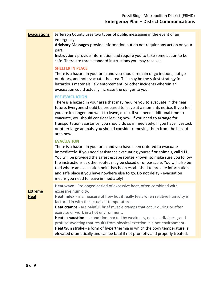### **Evacuations** Jefferson County uses two types of public messaging in the event of an emergency:

**Advisory Messages** provide information but do not require any action on your part.

**Instructions** provide information and require you to take some action to be safe. There are three standard instructions you may receive:

#### **SHELTER IN PLACE**

There is a hazard in your area and you should remain or go indoors, not go outdoors, and not evacuate the area. This may be the safest strategy for hazardous materials, law enforcement, or other incidents wherein an evacuation could actually increase the danger to you.

### **PRE-EVACUATION**

There is a hazard in your area that may require you to evacuate in the near future. Everyone should be prepared to leave at a moments notice. If you feel you are in danger and want to leave, do so. If you need additional time to evacuate, you should consider leaving now. If you need to arrange for transportation assistance, you should do so immediately. If you have livestock or other large animals, you should consider removing them from the hazard area now.

### **EVACUATION**

There is a hazard in your area and you have been ordered to evacuate immediately. If you need assistance evacuating yourself or animals, call 911. You will be provided the safest escape routes known, so make sure you follow the instructions as other routes may be closed or unpassable. You will also be told where an evacuation point has been established to provide information and safe place if you have nowhere else to go. Do not delay - evacuation means you need to leave immediately!

**Extreme** 

**Heat** 

**Heat wave** - Prolonged period of excessive heat, often combined with excessive humidity.

**Heat Index** - is a measure of how hot it really feels when relative humidity is factored in with the actual air temperature.

**Heat cramps** - are painful, brief muscle cramps that occur during or after exercise or work in a hot environment.

**Heat exhaustion** - a condition marked by weakness, nausea, dizziness, and profuse sweating that results from physical exertion in a hot environment. **Heat/Sun stroke** - a form of hyperthermia in which the body temperature is elevated dramatically and can be fatal if not promptly and properly treated.